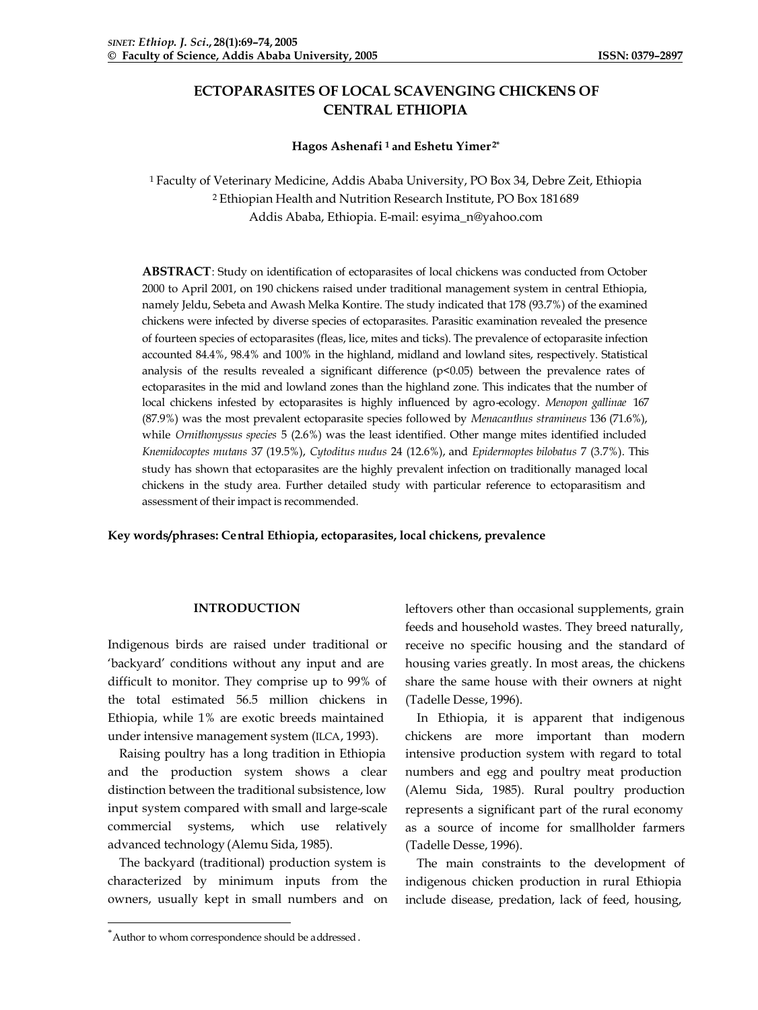# **ECTOPARASITES OF LOCAL SCAVENGING CHICKENS OF CENTRAL ETHIOPIA**

# **Hagos Ashenafi <sup>1</sup>and Eshetu Yimer 2\***

<sup>1</sup> Faculty of Veterinary Medicine, Addis Ababa University, PO Box 34, Debre Zeit, Ethiopia <sup>2</sup> Ethiopian Health and Nutrition Research Institute, PO Box 181689 Addis Ababa, Ethiopia. E-mail: esyima\_n@yahoo.com

**ABSTRACT**: Study on identification of ectoparasites of local chickens was conducted from October 2000 to April 2001, on 190 chickens raised under traditional management system in central Ethiopia, namely Jeldu, Sebeta and Awash Melka Kontire. The study indicated that 178 (93.7%) of the examined chickens were infected by diverse species of ectoparasites. Parasitic examination revealed the presence of fourteen species of ectoparasites (fleas, lice, mites and ticks). The prevalence of ectoparasite infection accounted 84.4%, 98.4% and 100% in the highland, midland and lowland sites, respectively. Statistical analysis of the results revealed a significant difference (p<0.05) between the prevalence rates of ectoparasites in the mid and lowland zones than the highland zone. This indicates that the number of local chickens infested by ectoparasites is highly influenced by agro-ecology. *Menopon gallinae* 167 (87.9%) was the most prevalent ectoparasite species followed by *Menacanthus stramineus* 136 (71.6%), while *Ornithonyssus species* 5 (2.6%) was the least identified. Other mange mites identified included *Knemidocoptes mutans* 37 (19.5%), *Cytoditus nudus* 24 (12.6%), and *Epidermoptes bilobatus* 7 (3.7%). This study has shown that ectoparasites are the highly prevalent infection on traditionally managed local chickens in the study area. Further detailed study with particular reference to ectoparasitism and assessment of their impact is recommended.

**Key words/phrases: Central Ethiopia, ectoparasites, local chickens, prevalence**

# **INTRODUCTION**

Indigenous birds are raised under traditional or 'backyard' conditions without any input and are difficult to monitor. They comprise up to 99% of the total estimated 56.5 million chickens in Ethiopia, while 1% are exotic breeds maintained under intensive management system (ILCA, 1993).

Raising poultry has a long tradition in Ethiopia and the production system shows a clear distinction between the traditional subsistence, low input system compared with small and large-scale commercial systems, which use relatively advanced technology (Alemu Sida, 1985).

The backyard (traditional) production system is characterized by minimum inputs from the owners, usually kept in small numbers and on leftovers other than occasional supplements, grain feeds and household wastes. They breed naturally, receive no specific housing and the standard of housing varies greatly. In most areas, the chickens share the same house with their owners at night (Tadelle Desse, 1996).

In Ethiopia, it is apparent that indigenous chickens are more important than modern intensive production system with regard to total numbers and egg and poultry meat production (Alemu Sida, 1985). Rural poultry production represents a significant part of the rural economy as a source of income for smallholder farmers (Tadelle Desse, 1996).

The main constraints to the development of indigenous chicken production in rural Ethiopia include disease, predation, lack of feed, housing,

l

<sup>\*</sup>Author to whom correspondence should be addressed.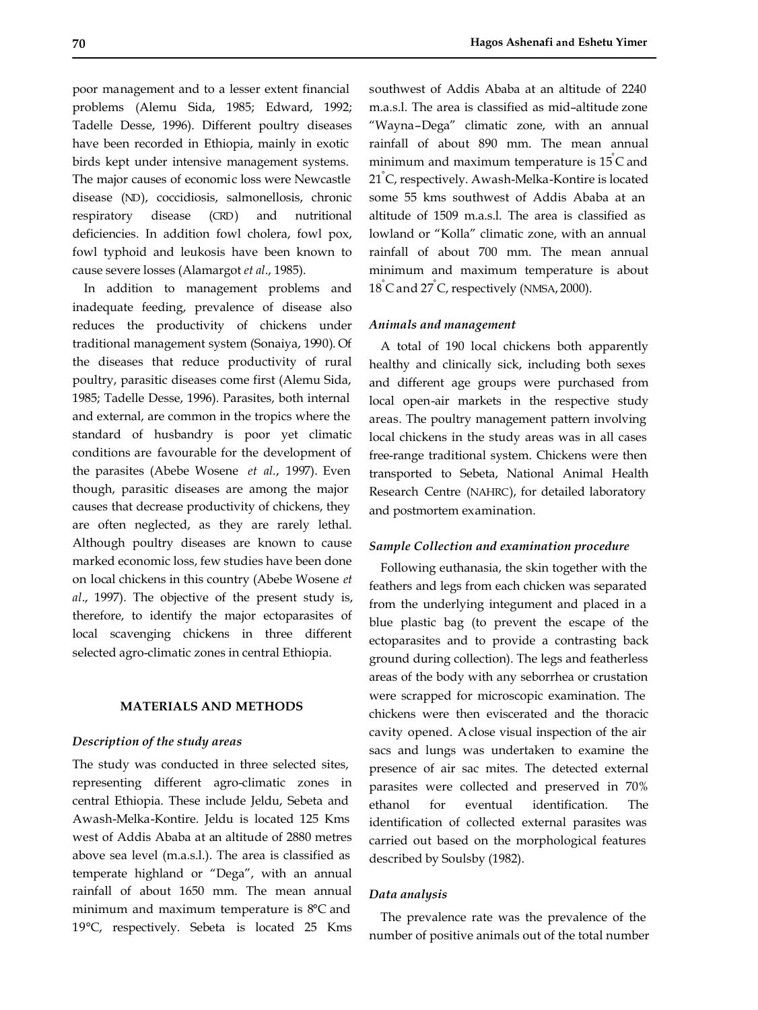poor management and to a lesser extent financial problems (Alemu Sida, 1985; Edward, 1992; Tadelle Desse, 1996). Different poultry diseases have been recorded in Ethiopia, mainly in exotic birds kept under intensive management systems. The major causes of economic loss were Newcastle disease (ND), coccidiosis, salmonellosis, chronic respiratory disease (CRD) and nutritional deficiencies. In addition fowl cholera, fowl pox, fowl typhoid and leukosis have been known to cause severe losses (Alamargot *et al*., 1985).

In addition to management problems and inadequate feeding, prevalence of disease also reduces the productivity of chickens under traditional management system (Sonaiya, 1990). Of the diseases that reduce productivity of rural poultry, parasitic diseases come first (Alemu Sida, 1985; Tadelle Desse, 1996). Parasites, both internal and external, are common in the tropics where the standard of husbandry is poor yet climatic conditions are favourable for the development of the parasites (Abebe Wosene *et al*., 1997). Even though, parasitic diseases are among the major causes that decrease productivity of chickens, they are often neglected, as they are rarely lethal. Although poultry diseases are known to cause marked economic loss, few studies have been done on local chickens in this country (Abebe Wosene *et al*., 1997). The objective of the present study is, therefore, to identify the major ectoparasites of local scavenging chickens in three different selected agro-climatic zones in central Ethiopia.

# **MATERIALS AND METHODS**

# *Description of the study areas*

The study was conducted in three selected sites, representing different agro-climatic zones in central Ethiopia. These include Jeldu, Sebeta and Awash-Melka-Kontire. Jeldu is located 125 Kms west of Addis Ababa at an altitude of 2880 metres above sea level (m.a.s.l.). The area is classified as temperate highland or "Dega", with an annual rainfall of about 1650 mm. The mean annual minimum and maximum temperature is 8°C and 19°C, respectively. Sebeta is located 25 Kms southwest of Addis Ababa at an altitude of 2240 m.a.s.l. The area is classified as mid–altitude zone "Wayna–Dega" climatic zone, with an annual rainfall of about 890 mm. The mean annual minimum and maximum temperature is 15° C and 21° C, respectively. Awash-Melka-Kontire is located some 55 kms southwest of Addis Ababa at an altitude of 1509 m.a.s.l. The area is classified as lowland or "Kolla" climatic zone, with an annual rainfall of about 700 mm. The mean annual minimum and maximum temperature is about 18° C and 27° C, respectively (NMSA, 2000).

#### *Animals and management*

A total of 190 local chickens both apparently healthy and clinically sick, including both sexes and different age groups were purchased from local open-air markets in the respective study areas. The poultry management pattern involving local chickens in the study areas was in all cases free-range traditional system. Chickens were then transported to Sebeta, National Animal Health Research Centre (NAHRC), for detailed laboratory and postmortem examination.

#### *Sample Collection and examination procedure*

Following euthanasia, the skin together with the feathers and legs from each chicken was separated from the underlying integument and placed in a blue plastic bag (to prevent the escape of the ectoparasites and to provide a contrasting back ground during collection). The legs and featherless areas of the body with any seborrhea or crustation were scrapped for microscopic examination. The chickens were then eviscerated and the thoracic cavity opened. A close visual inspection of the air sacs and lungs was undertaken to examine the presence of air sac mites. The detected external parasites were collected and preserved in 70% ethanol for eventual identification. The identification of collected external parasites was carried out based on the morphological features described by Soulsby (1982).

# *Data analysis*

The prevalence rate was the prevalence of the number of positive animals out of the total number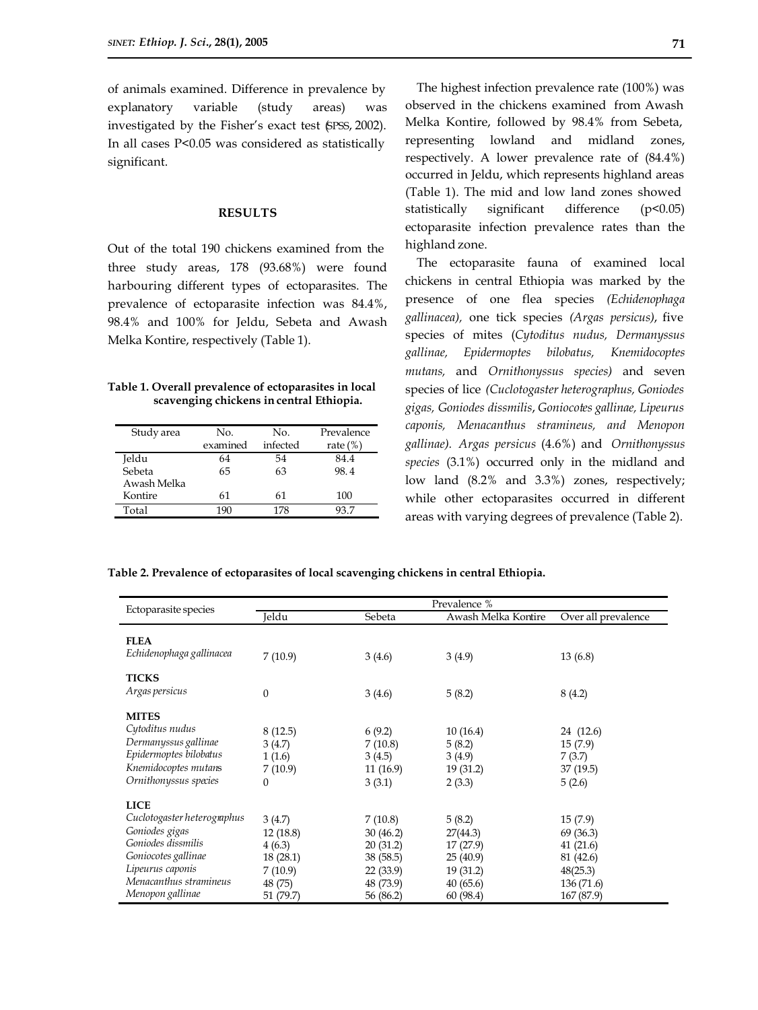of animals examined. Difference in prevalence by explanatory variable (study areas) was investigated by the Fisher's exact test (SPSS, 2002). In all cases P<0.05 was considered as statistically significant.

# **RESULTS**

Out of the total 190 chickens examined from the three study areas, 178 (93.68%) were found harbouring different types of ectoparasites. The prevalence of ectoparasite infection was 84.4%, 98.4% and 100% for Jeldu, Sebeta and Awash Melka Kontire, respectively (Table 1).

# **Table 1. Overall prevalence of ectoparasites in local scavenging chickens in central Ethiopia.**

| Study area  | No.      | No.      | Prevalence  |
|-------------|----------|----------|-------------|
|             | examined | infected | rate $(\%)$ |
| Jeldu       | 64       | 54       | 84.4        |
| Sebeta      | 65       | 63       | 98.4        |
| Awash Melka |          |          |             |
| Kontire     | 61       | 61       | 100         |
| Total       |          | 178      |             |

The highest infection prevalence rate (100%) was observed in the chickens examined from Awash Melka Kontire, followed by 98.4% from Sebeta, representing lowland and midland zones, respectively. A lower prevalence rate of (84.4%) occurred in Jeldu, which represents highland areas (Table 1). The mid and low land zones showed statistically significant difference (p<0.05) ectoparasite infection prevalence rates than the highland zone.

The ectoparasite fauna of examined local chickens in central Ethiopia was marked by the presence of one flea species *(Echidenophaga gallinacea),* one tick species *(Argas persicus)*, five species of mites (*Cytoditus nudus, Dermanyssus gallinae, Epidermoptes bilobatus, Knemidocoptes mutans,* and *Ornithonyssus species)* and seven species of lice *(Cuclotogaster heterographus, Goniodes gigas, Goniodes dissmilis*, *Goniocotes gallinae, Lipeurus caponis, Menacanthus stramineus, and Menopon gallinae). Argas persicus* (4.6%) and *Ornithonyssus species* (3.1%) occurred only in the midland and low land (8.2% and 3.3%) zones, respectively; while other ectoparasites occurred in different areas with varying degrees of prevalence (Table 2).

**Table 2. Prevalence of ectoparasites of local scavenging chickens in central Ethiopia.**

| Ectoparasite species                                                                                                                                                        | Prevalence %                                                                  |                                                                                     |                                                                                 |                                                                                      |  |
|-----------------------------------------------------------------------------------------------------------------------------------------------------------------------------|-------------------------------------------------------------------------------|-------------------------------------------------------------------------------------|---------------------------------------------------------------------------------|--------------------------------------------------------------------------------------|--|
|                                                                                                                                                                             | Ieldu                                                                         | Sebeta                                                                              | Awash Melka Kontire                                                             | Over all prevalence                                                                  |  |
| <b>FLEA</b><br>Echidenophaga gallinacea                                                                                                                                     | 7(10.9)                                                                       | 3(4.6)                                                                              | 3(4.9)                                                                          | 13(6.8)                                                                              |  |
| <b>TICKS</b><br>Argas persicus                                                                                                                                              | 0                                                                             | 3(4.6)                                                                              | 5(8.2)                                                                          | 8(4.2)                                                                               |  |
| <b>MITES</b><br>Cytoditus nudus<br>Dermanyssus gallinae<br>Epidermoptes bilobatus<br>Knemidocoptes mutans<br>Ornithonyssus species                                          | 8(12.5)<br>3(4.7)<br>1(1.6)<br>7(10.9)<br>0                                   | 6(9.2)<br>7(10.8)<br>3(4.5)<br>11(16.9)<br>3(3.1)                                   | 10(16.4)<br>5(8.2)<br>3(4.9)<br>19 (31.2)<br>2(3.3)                             | 24 (12.6)<br>15(7.9)<br>7(3.7)<br>37 (19.5)<br>5(2.6)                                |  |
| <b>LICE</b><br>Cuclotogaster heterographus<br>Goniodes gigas<br>Goniodes dissmilis<br>Goniocotes gallinae<br>Lipeurus caponis<br>Menacanthus stramineus<br>Menopon gallinae | 3(4.7)<br>12 (18.8)<br>4(6.3)<br>18 (28.1)<br>7(10.9)<br>48 (75)<br>51 (79.7) | 7(10.8)<br>30(46.2)<br>20(31.2)<br>38 (58.5)<br>22 (33.9)<br>48 (73.9)<br>56 (86.2) | 5(8.2)<br>27(44.3)<br>17(27.9)<br>25(40.9)<br>19(31.2)<br>40(65.6)<br>60 (98.4) | 15(7.9)<br>69 (36.3)<br>41(21.6)<br>81 (42.6)<br>48(25.3)<br>136(71.6)<br>167 (87.9) |  |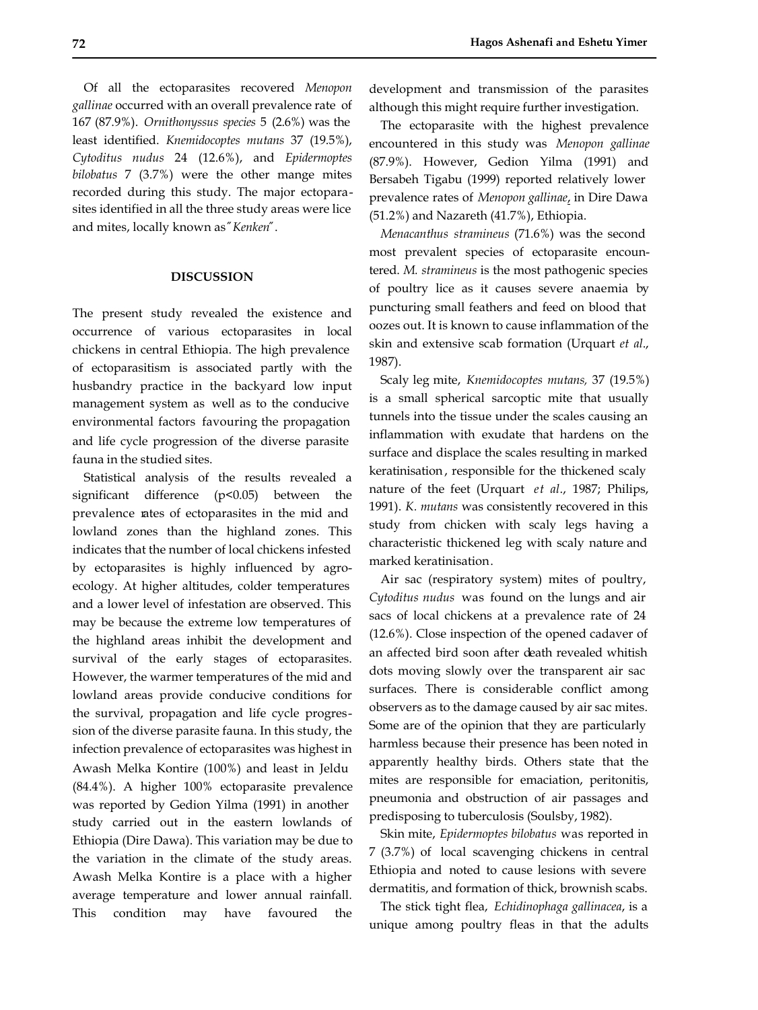Of all the ectoparasites recovered *Menopon gallinae* occurred with an overall prevalence rate of 167 (87.9%). *Ornithonyssus species* 5 (2.6%) was the least identified. *Knemidocoptes mutans* 37 (19.5%), *Cytoditus nudus* 24 (12.6%), and *Epidermoptes bilobatus* 7 (3.7%) were the other mange mites recorded during this study. The major ectoparasites identified in all the three study areas were lice and mites, locally known as *²Kenken²*.

#### **DISCUSSION**

The present study revealed the existence and occurrence of various ectoparasites in local chickens in central Ethiopia. The high prevalence of ectoparasitism is associated partly with the husbandry practice in the backyard low input management system as well as to the conducive environmental factors favouring the propagation and life cycle progression of the diverse parasite fauna in the studied sites.

Statistical analysis of the results revealed a significant difference (p<0.05) between the prevalence rates of ectoparasites in the mid and lowland zones than the highland zones. This indicates that the number of local chickens infested by ectoparasites is highly influenced by agroecology. At higher altitudes, colder temperatures and a lower level of infestation are observed. This may be because the extreme low temperatures of the highland areas inhibit the development and survival of the early stages of ectoparasites. However, the warmer temperatures of the mid and lowland areas provide conducive conditions for the survival, propagation and life cycle progression of the diverse parasite fauna. In this study, the infection prevalence of ectoparasites was highest in Awash Melka Kontire (100%) and least in Jeldu (84.4%). A higher 100% ectoparasite prevalence was reported by Gedion Yilma (1991) in another study carried out in the eastern lowlands of Ethiopia (Dire Dawa). This variation may be due to the variation in the climate of the study areas. Awash Melka Kontire is a place with a higher average temperature and lower annual rainfall. This condition may have favoured the development and transmission of the parasites although this might require further investigation.

The ectoparasite with the highest prevalence encountered in this study was *Menopon gallinae* (87.9%). However, Gedion Yilma (1991) and Bersabeh Tigabu (1999) reported relatively lower prevalence rates of *Menopon gallinae*, in Dire Dawa (51.2%) and Nazareth (41.7%), Ethiopia.

*Menacanthus stramineus* (71.6%) was the second most prevalent species of ectoparasite encountered. *M. stramineus* is the most pathogenic species of poultry lice as it causes severe anaemia by puncturing small feathers and feed on blood that oozes out. It is known to cause inflammation of the skin and extensive scab formation (Urquart *et al*., 1987).

Scaly leg mite, *Knemidocoptes mutans,* 37 (19.5%) is a small spherical sarcoptic mite that usually tunnels into the tissue under the scales causing an inflammation with exudate that hardens on the surface and displace the scales resulting in marked keratinisation, responsible for the thickened scaly nature of the feet (Urquart *et al*., 1987; Philips, 1991). *K. mutans* was consistently recovered in this study from chicken with scaly legs having a characteristic thickened leg with scaly nature and marked keratinisation.

Air sac (respiratory system) mites of poultry, *Cytoditus nudus* was found on the lungs and air sacs of local chickens at a prevalence rate of 24 (12.6%). Close inspection of the opened cadaver of an affected bird soon after death revealed whitish dots moving slowly over the transparent air sac surfaces. There is considerable conflict among observers as to the damage caused by air sac mites. Some are of the opinion that they are particularly harmless because their presence has been noted in apparently healthy birds. Others state that the mites are responsible for emaciation, peritonitis, pneumonia and obstruction of air passages and predisposing to tuberculosis (Soulsby, 1982).

Skin mite, *Epidermoptes bilobatus* was reported in 7 (3.7%) of local scavenging chickens in central Ethiopia and noted to cause lesions with severe dermatitis, and formation of thick, brownish scabs.

The stick tight flea, *Echidinophaga gallinacea*, is a unique among poultry fleas in that the adults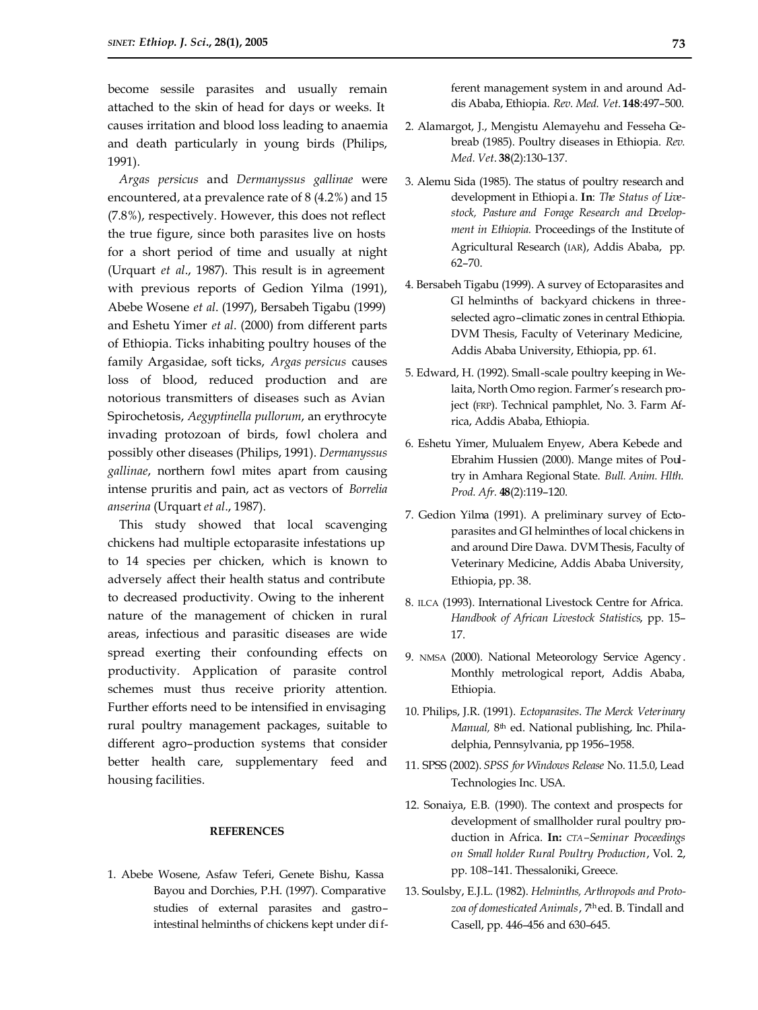become sessile parasites and usually remain attached to the skin of head for days or weeks. It causes irritation and blood loss leading to anaemia and death particularly in young birds (Philips, 1991).

*Argas persicus* and *Dermanyssus gallinae* were encountered, at a prevalence rate of 8 (4.2%) and 15 (7.8%), respectively. However, this does not reflect the true figure, since both parasites live on hosts for a short period of time and usually at night (Urquart *et al*., 1987). This result is in agreement with previous reports of Gedion Yilma (1991), Abebe Wosene *et al*. (1997), Bersabeh Tigabu (1999) and Eshetu Yimer *et al*. (2000) from different parts of Ethiopia. Ticks inhabiting poultry houses of the family Argasidae, soft ticks, *Argas persicus* causes loss of blood, reduced production and are notorious transmitters of diseases such as Avian Spirochetosis, *Aegyptinella pullorum*, an erythrocyte invading protozoan of birds, fowl cholera and possibly other diseases (Philips, 1991). *Dermanyssus gallinae*, northern fowl mites apart from causing intense pruritis and pain, act as vectors of *Borrelia anserina* (Urquart *et al*., 1987).

This study showed that local scavenging chickens had multiple ectoparasite infestations up to 14 species per chicken, which is known to adversely affect their health status and contribute to decreased productivity. Owing to the inherent nature of the management of chicken in rural areas, infectious and parasitic diseases are wide spread exerting their confounding effects on productivity. Application of parasite control schemes must thus receive priority attention. Further efforts need to be intensified in envisaging rural poultry management packages, suitable to different agro–production systems that consider better health care, supplementary feed and housing facilities.

# **REFERENCES**

1. Abebe Wosene, Asfaw Teferi, Genete Bishu, Kassa Bayou and Dorchies, P.H. (1997). Comparative studies of external parasites and gastro– intestinal helminths of chickens kept under different management system in and around Addis Ababa, Ethiopia. *Rev. Med. Vet*. **148**:497–500.

- 2. Alamargot, J., Mengistu Alemayehu and Fesseha Gebreab (1985). Poultry diseases in Ethiopia. *Rev. Med. Vet*. **38**(2):130–137.
- 3. Alemu Sida (1985). The status of poultry research and development in Ethiopi a. **In**: *The Status of Livestock, Pasture and Forage Research and Development in Ethiopia.* Proceedings of the Institute of Agricultural Research (IAR), Addis Ababa, pp. 62–70.
- 4. Bersabeh Tigabu (1999). A survey of Ectoparasites and GI helminths of backyard chickens in threeselected agro–climatic zones in central Ethiopia. DVM Thesis, Faculty of Veterinary Medicine, Addis Ababa University, Ethiopia, pp. 61.
- 5. Edward, H. (1992). Small-scale poultry keeping in Welaita, North Omo region. Farmer's research project (FRP). Technical pamphlet, No. 3. Farm Africa, Addis Ababa, Ethiopia.
- 6. Eshetu Yimer, Mulualem Enyew, Abera Kebede and Ebrahim Hussien (2000). Mange mites of Poultry in Amhara Regional State. *Bull. Anim. Hlth. Prod. Afr.* **48**(2):119–120.
- 7. Gedion Yilma (1991). A preliminary survey of Ectoparasites and GI helminthes of local chickens in and around Dire Dawa. DVM Thesis, Faculty of Veterinary Medicine, Addis Ababa University, Ethiopia, pp. 38.
- 8. ILCA (1993). International Livestock Centre for Africa. *Handbook of African Livestock Statistics*, pp. 15– 17.
- 9. NMSA (2000). National Meteorology Service Agency . Monthly metrological report, Addis Ababa, Ethiopia.
- 10. Philips, J.R. (1991). *Ectoparasites*. *The Merck Veterinary Manual*, 8<sup>th</sup> ed. National publishing, Inc. Philadelphia, Pennsylvania, pp 1956–1958.
- 11. SPSS (2002). *SPSS for Windows Release* No. 11.5.0, Lead Technologies Inc. USA.
- 12. Sonaiya, E.B. (1990). The context and prospects for development of smallholder rural poultry production in Africa. **In:** *CTA–Seminar Proceedings on Small holder Rural Poultry Production*, Vol. 2, pp. 108–141. Thessaloniki, Greece.
- 13. Soulsby, E.J.L. (1982). *Helminths, Arthropods and Protozoa of domesticated Animals*, 7th ed. B. Tindall and Casell, pp. 446–456 and 630–645.